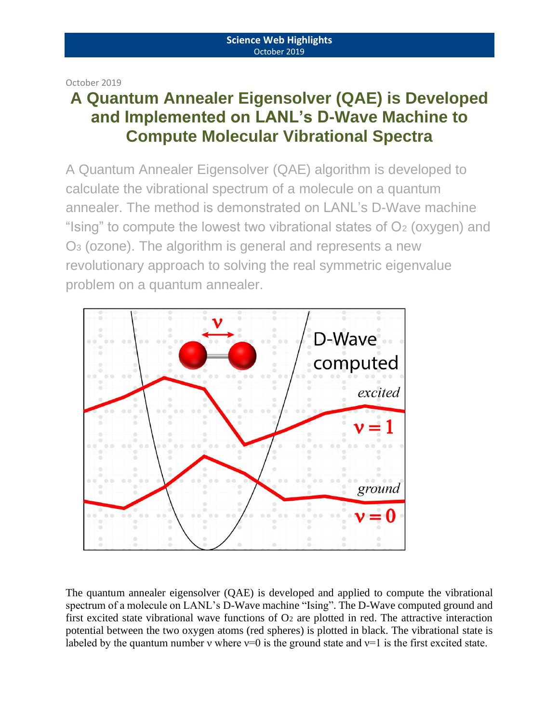October 2019

# **A Quantum Annealer Eigensolver (QAE) is Developed and Implemented on LANL's D-Wave Machine to Compute Molecular Vibrational Spectra**

A Quantum Annealer Eigensolver (QAE) algorithm is developed to calculate the vibrational spectrum of a molecule on a quantum annealer. The method is demonstrated on LANL's D-Wave machine "Ising" to compute the lowest two vibrational states of  $O<sub>2</sub>$  (oxygen) and O<sup>3</sup> (ozone). The algorithm is general and represents a new revolutionary approach to solving the real symmetric eigenvalue problem on a quantum annealer.



The quantum annealer eigensolver (QAE) is developed and applied to compute the vibrational spectrum of a molecule on LANL's D-Wave machine "Ising". The D-Wave computed ground and first excited state vibrational wave functions of O<sup>2</sup> are plotted in red. The attractive interaction potential between the two oxygen atoms (red spheres) is plotted in black. The vibrational state is labeled by the quantum number v where  $v=0$  is the ground state and  $v=1$  is the first excited state.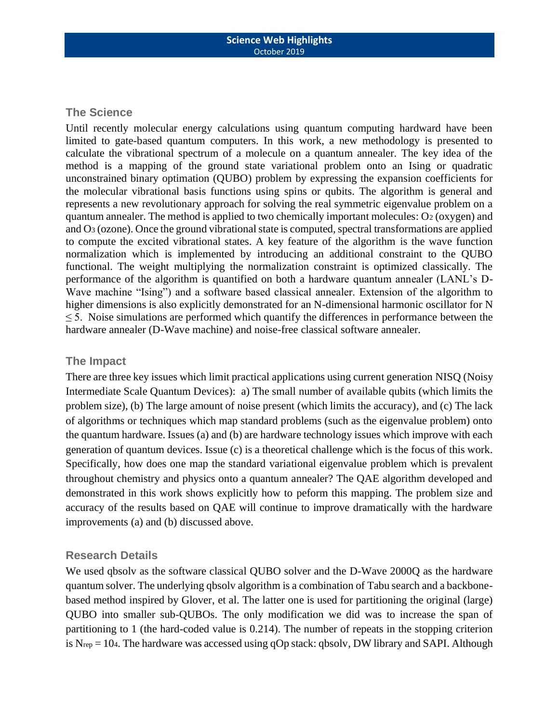## **The Science**

Until recently molecular energy calculations using quantum computing hardward have been limited to gate-based quantum computers. In this work, a new methodology is presented to calculate the vibrational spectrum of a molecule on a quantum annealer. The key idea of the method is a mapping of the ground state variational problem onto an Ising or quadratic unconstrained binary optimation (QUBO) problem by expressing the expansion coefficients for the molecular vibrational basis functions using spins or qubits. The algorithm is general and represents a new revolutionary approach for solving the real symmetric eigenvalue problem on a quantum annealer. The method is applied to two chemically important molecules: O2 (oxygen) and and O<sup>3</sup> (ozone). Once the ground vibrational state is computed, spectral transformations are applied to compute the excited vibrational states. A key feature of the algorithm is the wave function normalization which is implemented by introducing an additional constraint to the QUBO functional. The weight multiplying the normalization constraint is optimized classically. The performance of the algorithm is quantified on both a hardware quantum annealer (LANL's D-Wave machine "Ising") and a software based classical annealer. Extension of the algorithm to higher dimensions is also explicitly demonstrated for an N-dimensional harmonic oscillator for N ≤ 5. Noise simulations are performed which quantify the differences in performance between the hardware annealer (D-Wave machine) and noise-free classical software annealer.

### **The Impact**

There are three key issues which limit practical applications using current generation NISQ (Noisy Intermediate Scale Quantum Devices): a) The small number of available qubits (which limits the problem size), (b) The large amount of noise present (which limits the accuracy), and (c) The lack of algorithms or techniques which map standard problems (such as the eigenvalue problem) onto the quantum hardware. Issues (a) and (b) are hardware technology issues which improve with each generation of quantum devices. Issue (c) is a theoretical challenge which is the focus of this work. Specifically, how does one map the standard variational eigenvalue problem which is prevalent throughout chemistry and physics onto a quantum annealer? The QAE algorithm developed and demonstrated in this work shows explicitly how to peform this mapping. The problem size and accuracy of the results based on QAE will continue to improve dramatically with the hardware improvements (a) and (b) discussed above.

## **Research Details**

We used qbsolv as the software classical QUBO solver and the D-Wave 2000Q as the hardware quantum solver. The underlying qbsolv algorithm is a combination of Tabu search and a backbonebased method inspired by Glover, et al. The latter one is used for partitioning the original (large) QUBO into smaller sub-QUBOs. The only modification we did was to increase the span of partitioning to 1 (the hard-coded value is 0.214). The number of repeats in the stopping criterion is  $N_{rep} = 104$ . The hardware was accessed using qOp stack: qbsolv, DW library and SAPI. Although